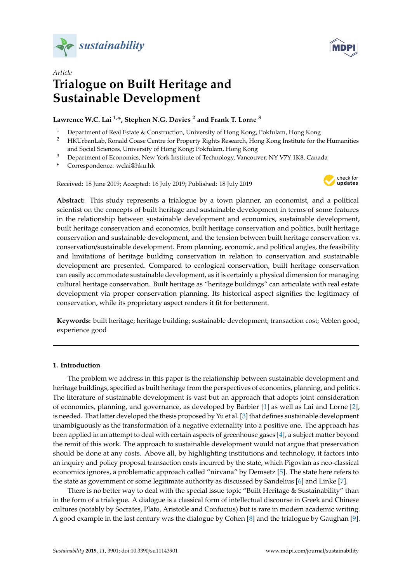



# *Article* **Trialogue on Built Heritage and Sustainable Development**

**Lawrence W.C. Lai 1,\*, Stephen N.G. Davies <sup>2</sup> and Frank T. Lorne <sup>3</sup>**

- <sup>1</sup> Department of Real Estate & Construction, University of Hong Kong, Pokfulam, Hong Kong<br><sup>2</sup> HKLI than Lab Ronald Coase Centre for Property Rights Research, Hong Kong Institute for th
- <sup>2</sup> HKUrbanLab, Ronald Coase Centre for Property Rights Research, Hong Kong Institute for the Humanities and Social Sciences, University of Hong Kong; Pokfulam, Hong Kong
- <sup>3</sup> Department of Economics, New York Institute of Technology, Vancouver, NY V7Y 1K8, Canada
- **\*** Correspondence: wclai@hku.hk

Received: 18 June 2019; Accepted: 16 July 2019; Published: 18 July 2019



**Abstract:** This study represents a trialogue by a town planner, an economist, and a political scientist on the concepts of built heritage and sustainable development in terms of some features in the relationship between sustainable development and economics, sustainable development, built heritage conservation and economics, built heritage conservation and politics, built heritage conservation and sustainable development, and the tension between built heritage conservation vs. conservation/sustainable development. From planning, economic, and political angles, the feasibility and limitations of heritage building conservation in relation to conservation and sustainable development are presented. Compared to ecological conservation, built heritage conservation can easily accommodate sustainable development, as it is certainly a physical dimension for managing cultural heritage conservation. Built heritage as "heritage buildings" can articulate with real estate development via proper conservation planning. Its historical aspect signifies the legitimacy of conservation, while its proprietary aspect renders it fit for betterment.

**Keywords:** built heritage; heritage building; sustainable development; transaction cost; Veblen good; experience good

## **1. Introduction**

The problem we address in this paper is the relationship between sustainable development and heritage buildings, specified as built heritage from the perspectives of economics, planning, and politics. The literature of sustainable development is vast but an approach that adopts joint consideration of economics, planning, and governance, as developed by Barbier [\[1\]](#page-7-0) as well as Lai and Lorne [\[2\]](#page-7-1), is needed. That latter developed the thesis proposed by Yu et al. [\[3\]](#page-7-2) that defines sustainable development unambiguously as the transformation of a negative externality into a positive one. The approach has been applied in an attempt to deal with certain aspects of greenhouse gases [\[4\]](#page-7-3), a subject matter beyond the remit of this work. The approach to sustainable development would not argue that preservation should be done at any costs. Above all, by highlighting institutions and technology, it factors into an inquiry and policy proposal transaction costs incurred by the state, which Pigovian as neo-classical economics ignores, a problematic approach called "nirvana" by Demsetz [\[5\]](#page-7-4). The state here refers to the state as government or some legitimate authority as discussed by Sandelius [\[6\]](#page-7-5) and Linke [\[7\]](#page-7-6).

There is no better way to deal with the special issue topic "Built Heritage & Sustainability" than in the form of a trialogue. A dialogue is a classical form of intellectual discourse in Greek and Chinese cultures (notably by Socrates, Plato, Aristotle and Confucius) but is rare in modern academic writing. A good example in the last century was the dialogue by Cohen [\[8\]](#page-7-7) and the trialogue by Gaughan [\[9\]](#page-7-8).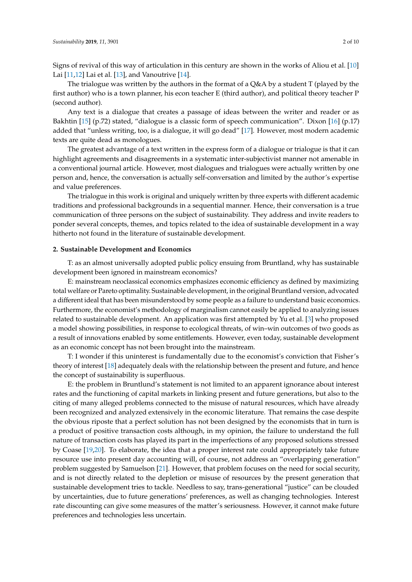Signs of revival of this way of articulation in this century are shown in the works of Aliou et al. [\[10\]](#page-7-9) Lai [\[11](#page-7-10)[,12\]](#page-8-0) Lai et al. [\[13\]](#page-8-1), and Vanoutrive [\[14\]](#page-8-2).

The trialogue was written by the authors in the format of a Q&A by a student T (played by the first author) who is a town planner, his econ teacher E (third author), and political theory teacher P (second author).

Any text is a dialogue that creates a passage of ideas between the writer and reader or as Bakhtin [\[15\]](#page-8-3) (p.72) stated, "dialogue is a classic form of speech communication". Dixon [\[16\]](#page-8-4) (p.17) added that "unless writing, too, is a dialogue, it will go dead" [\[17\]](#page-8-5). However, most modern academic texts are quite dead as monologues.

The greatest advantage of a text written in the express form of a dialogue or trialogue is that it can highlight agreements and disagreements in a systematic inter-subjectivist manner not amenable in a conventional journal article. However, most dialogues and trialogues were actually written by one person and, hence, the conversation is actually self-conversation and limited by the author's expertise and value preferences.

The trialogue in this work is original and uniquely written by three experts with different academic traditions and professional backgrounds in a sequential manner. Hence, their conversation is a true communication of three persons on the subject of sustainability. They address and invite readers to ponder several concepts, themes, and topics related to the idea of sustainable development in a way hitherto not found in the literature of sustainable development.

#### **2. Sustainable Development and Economics**

T: as an almost universally adopted public policy ensuing from Bruntland, why has sustainable development been ignored in mainstream economics?

E: mainstream neoclassical economics emphasizes economic efficiency as defined by maximizing total welfare or Pareto optimality. Sustainable development, in the original Bruntland version, advocated a different ideal that has been misunderstood by some people as a failure to understand basic economics. Furthermore, the economist's methodology of marginalism cannot easily be applied to analyzing issues related to sustainable development. An application was first attempted by Yu et al. [\[3\]](#page-7-2) who proposed a model showing possibilities, in response to ecological threats, of win–win outcomes of two goods as a result of innovations enabled by some entitlements. However, even today, sustainable development as an economic concept has not been brought into the mainstream.

T: I wonder if this uninterest is fundamentally due to the economist's conviction that Fisher's theory of interest [\[18\]](#page-8-6) adequately deals with the relationship between the present and future, and hence the concept of sustainability is superfluous.

E: the problem in Bruntlund's statement is not limited to an apparent ignorance about interest rates and the functioning of capital markets in linking present and future generations, but also to the citing of many alleged problems connected to the misuse of natural resources, which have already been recognized and analyzed extensively in the economic literature. That remains the case despite the obvious riposte that a perfect solution has not been designed by the economists that in turn is a product of positive transaction costs although, in my opinion, the failure to understand the full nature of transaction costs has played its part in the imperfections of any proposed solutions stressed by Coase [\[19,](#page-8-7)[20\]](#page-8-8). To elaborate, the idea that a proper interest rate could appropriately take future resource use into present day accounting will, of course, not address an "overlapping generation" problem suggested by Samuelson [\[21\]](#page-8-9). However, that problem focuses on the need for social security, and is not directly related to the depletion or misuse of resources by the present generation that sustainable development tries to tackle. Needless to say, trans-generational "justice" can be clouded by uncertainties, due to future generations' preferences, as well as changing technologies. Interest rate discounting can give some measures of the matter's seriousness. However, it cannot make future preferences and technologies less uncertain.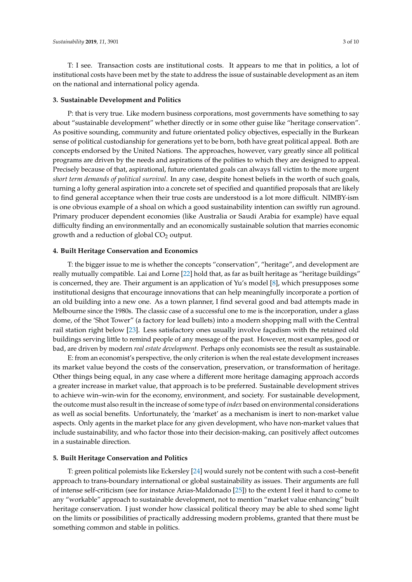T: I see. Transaction costs are institutional costs. It appears to me that in politics, a lot of institutional costs have been met by the state to address the issue of sustainable development as an item on the national and international policy agenda.

#### **3. Sustainable Development and Politics**

P: that is very true. Like modern business corporations, most governments have something to say about "sustainable development" whether directly or in some other guise like "heritage conservation". As positive sounding, community and future orientated policy objectives, especially in the Burkean sense of political custodianship for generations yet to be born, both have great political appeal. Both are concepts endorsed by the United Nations. The approaches, however, vary greatly since all political programs are driven by the needs and aspirations of the polities to which they are designed to appeal. Precisely because of that, aspirational, future orientated goals can always fall victim to the more urgent *short term demands of political survival*. In any case, despite honest beliefs in the worth of such goals, turning a lofty general aspiration into a concrete set of specified and quantified proposals that are likely to find general acceptance when their true costs are understood is a lot more difficult. NIMBY-ism is one obvious example of a shoal on which a good sustainability intention can swiftly run aground. Primary producer dependent economies (like Australia or Saudi Arabia for example) have equal difficulty finding an environmentally and an economically sustainable solution that marries economic growth and a reduction of global  $CO<sub>2</sub>$  output.

#### **4. Built Heritage Conservation and Economics**

T: the bigger issue to me is whether the concepts "conservation", "heritage", and development are really mutually compatible. Lai and Lorne [\[22\]](#page-8-10) hold that, as far as built heritage as "heritage buildings" is concerned, they are. Their argument is an application of Yu's model [\[8\]](#page-7-7), which presupposes some institutional designs that encourage innovations that can help meaningfully incorporate a portion of an old building into a new one. As a town planner, I find several good and bad attempts made in Melbourne since the 1980s. The classic case of a successful one to me is the incorporation, under a glass dome, of the 'Shot Tower" (a factory for lead bullets) into a modern shopping mall with the Central rail station right below [\[23\]](#page-8-11). Less satisfactory ones usually involve façadism with the retained old buildings serving little to remind people of any message of the past. However, most examples, good or bad, are driven by modern *real estate development*. Perhaps only economists see the result as sustainable.

E: from an economist's perspective, the only criterion is when the real estate development increases its market value beyond the costs of the conservation, preservation, or transformation of heritage. Other things being equal, in any case where a different more heritage damaging approach accords a greater increase in market value, that approach is to be preferred. Sustainable development strives to achieve win–win-win for the economy, environment, and society. For sustainable development, the outcome must also result in the increase of some type of *index* based on environmental considerations as well as social benefits. Unfortunately, the 'market' as a mechanism is inert to non-market value aspects. Only agents in the market place for any given development, who have non-market values that include sustainability, and who factor those into their decision-making, can positively affect outcomes in a sustainable direction.

#### **5. Built Heritage Conservation and Politics**

T: green political polemists like Eckersley [\[24\]](#page-8-12) would surely not be content with such a cost–benefit approach to trans-boundary international or global sustainability as issues. Their arguments are full of intense self-criticism (see for instance Arias-Maldonado [\[25\]](#page-8-13)) to the extent I feel it hard to come to any "workable" approach to sustainable development, not to mention "market value enhancing" built heritage conservation. I just wonder how classical political theory may be able to shed some light on the limits or possibilities of practically addressing modern problems, granted that there must be something common and stable in politics.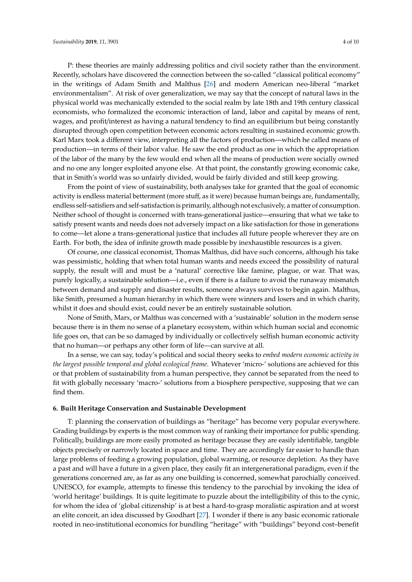P: these theories are mainly addressing politics and civil society rather than the environment. Recently, scholars have discovered the connection between the so-called "classical political economy" in the writings of Adam Smith and Malthus [\[26\]](#page-8-14) and modern American neo-liberal "market environmentalism". At risk of over generalization, we may say that the concept of natural laws in the physical world was mechanically extended to the social realm by late 18th and 19th century classical economists, who formalized the economic interaction of land, labor and capital by means of rent, wages, and profit/interest as having a natural tendency to find an equilibrium but being constantly disrupted through open competition between economic actors resulting in sustained economic growth. Karl Marx took a different view, interpreting all the factors of production—which he called means of production—in terms of their labor value. He saw the end product as one in which the appropriation of the labor of the many by the few would end when all the means of production were socially owned and no one any longer exploited anyone else. At that point, the constantly growing economic cake, that in Smith's world was so unfairly divided, would be fairly divided and still keep growing.

From the point of view of sustainability, both analyses take for granted that the goal of economic activity is endless material betterment (more stuff, as it were) because human beings are, fundamentally, endless self-satisfiers and self-satisfaction is primarily, although not exclusively, a matter of consumption. Neither school of thought is concerned with trans-generational justice—ensuring that what we take to satisfy present wants and needs does not adversely impact on a like satisfaction for those in generations to come—let alone a trans-generational justice that includes all future people wherever they are on Earth. For both, the idea of infinite growth made possible by inexhaustible resources is a given.

Of course, one classical economist, Thomas Malthus, did have such concerns, although his take was pessimistic, holding that when total human wants and needs exceed the possibility of natural supply, the result will and must be a 'natural' corrective like famine, plague, or war. That was, purely logically, a sustainable solution—i.e., even if there is a failure to avoid the runaway mismatch between demand and supply and disaster results, someone always survives to begin again. Malthus, like Smith, presumed a human hierarchy in which there were winners and losers and in which charity, whilst it does and should exist, could never be an entirely sustainable solution.

None of Smith, Marx, or Malthus was concerned with a 'sustainable' solution in the modern sense because there is in them no sense of a planetary ecosystem, within which human social and economic life goes on, that can be so damaged by individually or collectively selfish human economic activity that no human—or perhaps any other form of life—can survive at all.

In a sense, we can say, today's political and social theory seeks to *embed modern economic activity in the largest possible temporal and global ecological frame*. Whatever 'micro-' solutions are achieved for this or that problem of sustainability from a human perspective, they cannot be separated from the need to fit with globally necessary 'macro-' solutions from a biosphere perspective, supposing that we can find them.

#### **6. Built Heritage Conservation and Sustainable Development**

T: planning the conservation of buildings as "heritage" has become very popular everywhere. Grading buildings by experts is the most common way of ranking their importance for public spending. Politically, buildings are more easily promoted as heritage because they are easily identifiable, tangible objects precisely or narrowly located in space and time. They are accordingly far easier to handle than large problems of feeding a growing population, global warming, or resource depletion. As they have a past and will have a future in a given place, they easily fit an intergenerational paradigm, even if the generations concerned are, as far as any one building is concerned, somewhat parochially conceived. UNESCO, for example, attempts to finesse this tendency to the parochial by invoking the idea of 'world heritage' buildings. It is quite legitimate to puzzle about the intelligibility of this to the cynic, for whom the idea of 'global citizenship' is at best a hard-to-grasp moralistic aspiration and at worst an elite conceit, an idea discussed by Goodhart [\[27\]](#page-8-15). I wonder if there is any basic economic rationale rooted in neo-institutional economics for bundling "heritage" with "buildings" beyond cost–benefit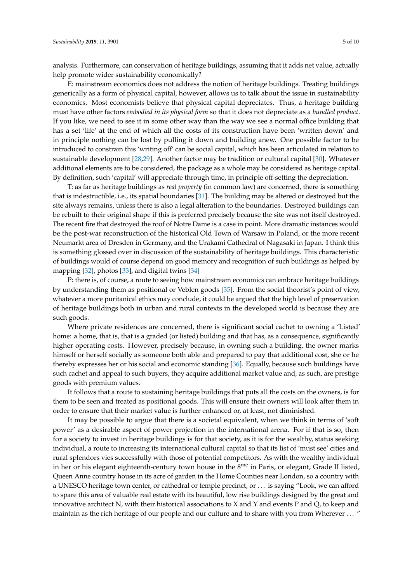analysis. Furthermore, can conservation of heritage buildings, assuming that it adds net value, actually help promote wider sustainability economically?

E: mainstream economics does not address the notion of heritage buildings. Treating buildings generically as a form of physical capital, however, allows us to talk about the issue in sustainability economics. Most economists believe that physical capital depreciates. Thus, a heritage building must have other factors *embodied in its physical form* so that it does not depreciate as a *bundled product*. If you like, we need to see it in some other way than the way we see a normal office building that has a set 'life' at the end of which all the costs of its construction have been 'written down' and in principle nothing can be lost by pulling it down and building anew. One possible factor to be introduced to constrain this 'writing off' can be social capital, which has been articulated in relation to sustainable development [\[28,](#page-8-16)[29\]](#page-8-17). Another factor may be tradition or cultural capital [\[30\]](#page-8-18). Whatever additional elements are to be considered, the package as a whole may be considered as heritage capital. By definition, such 'capital' will appreciate through time, in principle off-setting the depreciation.

T: as far as heritage buildings as *real property* (in common law) are concerned, there is something that is indestructible, i.e., its spatial boundaries [\[31\]](#page-8-19). The building may be altered or destroyed but the site always remains, unless there is also a legal alteration to the boundaries. Destroyed buildings can be rebuilt to their original shape if this is preferred precisely because the site was not itself destroyed. The recent fire that destroyed the roof of Notre Dame is a case in point. More dramatic instances would be the post-war reconstruction of the historical Old Town of Warsaw in Poland, or the more recent Neumarkt area of Dresden in Germany, and the Urakami Cathedral of Nagasaki in Japan. I think this is something glossed over in discussion of the sustainability of heritage buildings. This characteristic of buildings would of course depend on good memory and recognition of such buildings as helped by mapping [\[32\]](#page-8-20), photos [\[33\]](#page-8-21), and digital twins [\[34\]](#page-8-22)

P: there is, of course, a route to seeing how mainstream economics can embrace heritage buildings by understanding them as positional or Veblen goods [\[35\]](#page-8-23). From the social theorist's point of view, whatever a more puritanical ethics may conclude, it could be argued that the high level of preservation of heritage buildings both in urban and rural contexts in the developed world is because they are such goods.

Where private residences are concerned, there is significant social cachet to owning a 'Listed' home: a home, that is, that is a graded (or listed) building and that has, as a consequence, significantly higher operating costs. However, precisely because, in owning such a building, the owner marks himself or herself socially as someone both able and prepared to pay that additional cost, she or he thereby expresses her or his social and economic standing [\[36\]](#page-8-24). Equally, because such buildings have such cachet and appeal to such buyers, they acquire additional market value and, as such, are prestige goods with premium values.

It follows that a route to sustaining heritage buildings that puts all the costs on the owners, is for them to be seen and treated as positional goods. This will ensure their owners will look after them in order to ensure that their market value is further enhanced or, at least, not diminished.

It may be possible to argue that there is a societal equivalent, when we think in terms of 'soft power' as a desirable aspect of power projection in the international arena. For if that is so, then for a society to invest in heritage buildings is for that society, as it is for the wealthy, status seeking individual, a route to increasing its international cultural capital so that its list of 'must see' cities and rural splendors vies successfully with those of potential competitors. As with the wealthy individual in her or his elegant eighteenth-century town house in the  $8<sup>me</sup>$  in Paris, or elegant, Grade II listed, Queen Anne country house in its acre of garden in the Home Counties near London, so a country with a UNESCO heritage town center, or cathedral or temple precinct, or . . . is saying "Look, we can afford to spare this area of valuable real estate with its beautiful, low rise buildings designed by the great and innovative architect N, with their historical associations to X and Y and events P and Q, to keep and maintain as the rich heritage of our people and our culture and to share with you from Wherever . . . "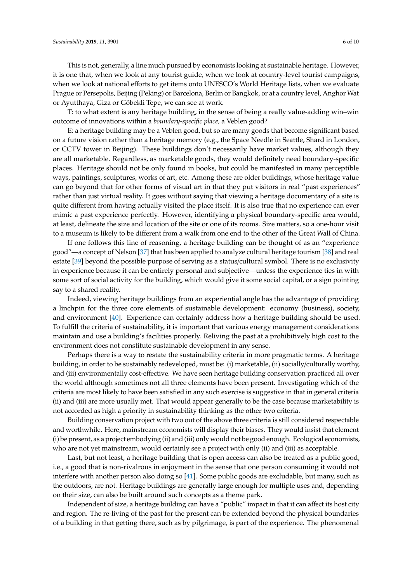This is not, generally, a line much pursued by economists looking at sustainable heritage. However, it is one that, when we look at any tourist guide, when we look at country-level tourist campaigns, when we look at national efforts to get items onto UNESCO's World Heritage lists, when we evaluate Prague or Persepolis, Beijing (Peking) or Barcelona, Berlin or Bangkok, or at a country level, Anghor Wat or Ayutthaya, Giza or Göbekli Tepe, we can see at work.

T: to what extent is any heritage building, in the sense of being a really value-adding win–win outcome of innovations within a *boundary-specific place,* a Veblen good?

E: a heritage building may be a Veblen good, but so are many goods that become significant based on a future vision rather than a heritage memory (e.g., the Space Needle in Seattle, Shard in London, or CCTV tower in Beijing). These buildings don't necessarily have market values, although they are all marketable. Regardless, as marketable goods, they would definitely need boundary-specific places. Heritage should not be only found in books, but could be manifested in many perceptible ways, paintings, sculptures, works of art, etc. Among these are older buildings, whose heritage value can go beyond that for other forms of visual art in that they put visitors in real "past experiences" rather than just virtual reality. It goes without saying that viewing a heritage documentary of a site is quite different from having actually visited the place itself. It is also true that no experience can ever mimic a past experience perfectly. However, identifying a physical boundary-specific area would, at least, delineate the size and location of the site or one of its rooms. Size matters, so a one-hour visit to a museum is likely to be different from a walk from one end to the other of the Great Wall of China.

If one follows this line of reasoning, a heritage building can be thought of as an "experience good"—a concept of Nelson [\[37\]](#page-8-25) that has been applied to analyze cultural heritage tourism [\[38\]](#page-8-26) and real estate [\[39\]](#page-8-27) beyond the possible purpose of serving as a status/cultural symbol. There is no exclusivity in experience because it can be entirely personal and subjective—unless the experience ties in with some sort of social activity for the building, which would give it some social capital, or a sign pointing say to a shared reality.

Indeed, viewing heritage buildings from an experiential angle has the advantage of providing a linchpin for the three core elements of sustainable development: economy (business), society, and environment [\[40\]](#page-9-0). Experience can certainly address how a heritage building should be used. To fulfill the criteria of sustainability, it is important that various energy management considerations maintain and use a building's facilities properly. Reliving the past at a prohibitively high cost to the environment does not constitute sustainable development in any sense.

Perhaps there is a way to restate the sustainability criteria in more pragmatic terms. A heritage building, in order to be sustainably redeveloped, must be: (i) marketable, (ii) socially/culturally worthy, and (iii) environmentally cost-effective. We have seen heritage building conservation practiced all over the world although sometimes not all three elements have been present. Investigating which of the criteria are most likely to have been satisfied in any such exercise is suggestive in that in general criteria (ii) and (iii) are more usually met. That would appear generally to be the case because marketability is not accorded as high a priority in sustainability thinking as the other two criteria.

Building conservation project with two out of the above three criteria is still considered respectable and worthwhile. Here, mainstream economists will display their biases. They would insist that element (i) be present, as a project embodying (ii) and (iii) only would not be good enough. Ecological economists, who are not yet mainstream, would certainly see a project with only (ii) and (iii) as acceptable.

Last, but not least, a heritage building that is open access can also be treated as a public good, i.e., a good that is non-rivalrous in enjoyment in the sense that one person consuming it would not interfere with another person also doing so [\[41\]](#page-9-1). Some public goods are excludable, but many, such as the outdoors, are not. Heritage buildings are generally large enough for multiple uses and, depending on their size, can also be built around such concepts as a theme park.

Independent of size, a heritage building can have a "public" impact in that it can affect its host city and region. The re-living of the past for the present can be extended beyond the physical boundaries of a building in that getting there, such as by pilgrimage, is part of the experience. The phenomenal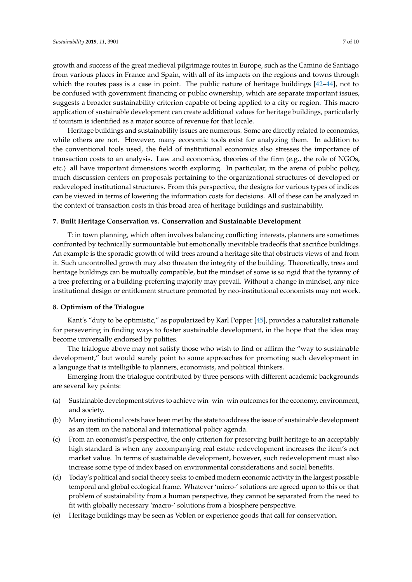growth and success of the great medieval pilgrimage routes in Europe, such as the Camino de Santiago from various places in France and Spain, with all of its impacts on the regions and towns through which the routes pass is a case in point. The public nature of heritage buildings [\[42–](#page-9-2)[44\]](#page-9-3), not to be confused with government financing or public ownership, which are separate important issues, suggests a broader sustainability criterion capable of being applied to a city or region. This macro application of sustainable development can create additional values for heritage buildings, particularly if tourism is identified as a major source of revenue for that locale.

Heritage buildings and sustainability issues are numerous. Some are directly related to economics, while others are not. However, many economic tools exist for analyzing them. In addition to the conventional tools used, the field of institutional economics also stresses the importance of transaction costs to an analysis. Law and economics, theories of the firm (e.g., the role of NGOs, etc.) all have important dimensions worth exploring. In particular, in the arena of public policy, much discussion centers on proposals pertaining to the organizational structures of developed or redeveloped institutional structures. From this perspective, the designs for various types of indices can be viewed in terms of lowering the information costs for decisions. All of these can be analyzed in the context of transaction costs in this broad area of heritage buildings and sustainability.

## **7. Built Heritage Conservation vs. Conservation and Sustainable Development**

T: in town planning, which often involves balancing conflicting interests, planners are sometimes confronted by technically surmountable but emotionally inevitable tradeoffs that sacrifice buildings. An example is the sporadic growth of wild trees around a heritage site that obstructs views of and from it. Such uncontrolled growth may also threaten the integrity of the building. Theoretically, trees and heritage buildings can be mutually compatible, but the mindset of some is so rigid that the tyranny of a tree-preferring or a building-preferring majority may prevail. Without a change in mindset, any nice institutional design or entitlement structure promoted by neo-institutional economists may not work.

### **8. Optimism of the Trialogue**

Kant's "duty to be optimistic," as popularized by Karl Popper [\[45\]](#page-9-4), provides a naturalist rationale for persevering in finding ways to foster sustainable development, in the hope that the idea may become universally endorsed by polities.

The trialogue above may not satisfy those who wish to find or affirm the "way to sustainable development," but would surely point to some approaches for promoting such development in a language that is intelligible to planners, economists, and political thinkers.

Emerging from the trialogue contributed by three persons with different academic backgrounds are several key points:

- (a) Sustainable development strives to achieve win–win–win outcomes for the economy, environment, and society.
- (b) Many institutional costs have been met by the state to address the issue of sustainable development as an item on the national and international policy agenda.
- (c) From an economist's perspective, the only criterion for preserving built heritage to an acceptably high standard is when any accompanying real estate redevelopment increases the item's net market value. In terms of sustainable development, however, such redevelopment must also increase some type of index based on environmental considerations and social benefits.
- (d) Today's political and social theory seeks to embed modern economic activity in the largest possible temporal and global ecological frame. Whatever 'micro-' solutions are agreed upon to this or that problem of sustainability from a human perspective, they cannot be separated from the need to fit with globally necessary 'macro-' solutions from a biosphere perspective.
- (e) Heritage buildings may be seen as Veblen or experience goods that call for conservation.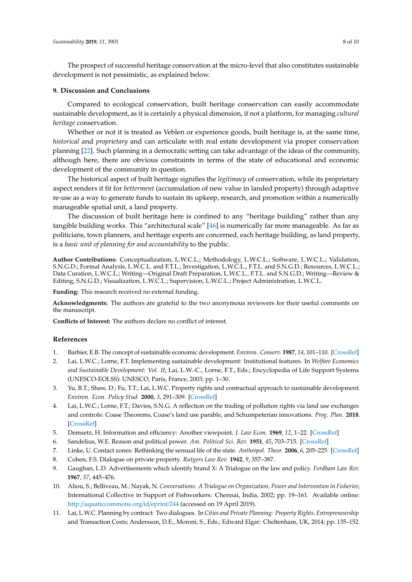The prospect of successful heritage conservation at the micro-level that also constitutes sustainable development is not pessimistic, as explained below.

## **9. Discussion and Conclusions**

Compared to ecological conservation, built heritage conservation can easily accommodate sustainable development, as it is certainly a physical dimension, if not a platform, for managing *cultural heritage* conservation.

Whether or not it is treated as Veblen or experience goods, built heritage is, at the same time, *historical* and *proprietary* and can articulate with real estate development via proper conservation planning [\[22\]](#page-8-10). Such planning in a democratic setting can take advantage of the ideas of the community, although here, there are obvious constraints in terms of the state of educational and economic development of the community in question.

The historical aspect of built heritage signifies the *legitimacy* of conservation, while its proprietary aspect renders it fit for *betterment* (accumulation of new value in landed property) through adaptive re-use as a way to generate funds to sustain its upkeep, research, and promotion within a numerically manageable spatial unit, a land property.

The discussion of built heritage here is confined to any "heritage building" rather than any tangible building works. This "architectural scale" [\[46\]](#page-9-5) is numerically far more manageable. As far as politicians, town planners, and heritage experts are concerned, each heritage building, as land property, is a *basic unit of planning for and accountability* to the public.

**Author Contributions:** Conceptualization, L.W.C.L.; Methodology, L.W.C.L.; Software, L.W.C.L.; Validation, S.N.G.D.; Formal Analysis, L.W.C.L. and F.T.L.; Investigation, L.W.C.L., F.T.L. and S.N.G.D.; Resources, L.W.C.L.; Data Curation, L.W.C.L.; Writing—Original Draft Preparation, L.W.C.L., F.T.L. and S.N.G.D.; Writing—Review & Editing, S.N.G.D.; Visualization, L.W.C.L.; Supervision, L.W.C.L.; Project Administration, L.W.C.L.

**Funding:** This research received no external funding.

**Acknowledgments:** The authors are grateful to the two anonymous reviewers for their useful comments on the manuscript.

**Conflicts of Interest:** The authors declare no conflict of interest.

## **References**

- <span id="page-7-0"></span>1. Barbier, E.B. The concept of sustainable economic development. *Environ. Conserv.* **1987**, *14*, 101–110. [\[CrossRef\]](http://dx.doi.org/10.1017/S0376892900011449)
- <span id="page-7-1"></span>2. Lai, L.W.C.; Lorne, F.T. Implementing sustainable development: Institutional features. In *Welfare Economics and Sustainable Development: Vol. II*; Lai, L.W.-C., Lorne, F.T., Eds.; Encyclopedia of Life Support Systems (UNESCO-EOLSS): UNESCO, Paris, France, 2003; pp. 1–30.
- <span id="page-7-2"></span>3. Yu, B.T.; Shaw, D.; Fu, T.T.; Lai, L.W.C. Property rights and contractual approach to sustainable development. *Environ. Econ. Policy Stud.* **2000**, *3*, 291–309. [\[CrossRef\]](http://dx.doi.org/10.1007/BF03354042)
- <span id="page-7-3"></span>4. Lai, L.W.C.; Lorne, F.T.; Davies, S.N.G. A reflection on the trading of pollution rights via land use exchanges and controls: Coase Theorems, Coase's land use parable, and Schumpeterian innovations. *Prog. Plan.* **2018**. [\[CrossRef\]](http://dx.doi.org/10.1016/j.progress.2018.10.001)
- <span id="page-7-4"></span>5. Demsetz, H. Information and efficiency: Another viewpoint. *J. Law Econ.* **1969**, *12*, 1–22. [\[CrossRef\]](http://dx.doi.org/10.1086/466657)
- <span id="page-7-5"></span>6. Sandelius, W.E. Reason and political power. *Am. Political Sci. Rev.* **1951**, *45*, 703–715. [\[CrossRef\]](http://dx.doi.org/10.2307/1951159)
- <span id="page-7-6"></span>7. Linke, U. Contact zones: Rethinking the sensual life of the state. *Anthropol. Theor.* **2006**, *6*, 205–225. [\[CrossRef\]](http://dx.doi.org/10.1177/1463499606065037)
- <span id="page-7-7"></span>8. Cohen, F.S. Dialogue on private property. *Rutgers Law Rev.* **1942**, *9*, 357–387.
- <span id="page-7-8"></span>9. Gaughan, L.D. Advertisements which identify brand X: A Trialogue on the law and policy. *Fordham Law Rev.* **1967**, *57*, 445–476.
- <span id="page-7-9"></span>10. Aliou, S.; Belliveau, M.; Nayak, N. *Conversations: A Trialogue on Organization, Power and Intervention in Fisheries*; International Collective in Support of Fishworkers: Chennai, India, 2002; pp. 19–161. Available online: http://[aquaticcommons.org](http://aquaticcommons.org/id/eprint/244)/id/eprint/244 (accessed on 19 April 2019).
- <span id="page-7-10"></span>11. Lai, L.W.C. Planning by contract: Two dialogues. In *Cities and Private Planning: Property Rights, Entrepreneurship* and Transaction Costs; Andersson, D.E., Moroni, S., Eds.; Edward Elgar: Cheltenham, UK, 2014; pp. 135–152.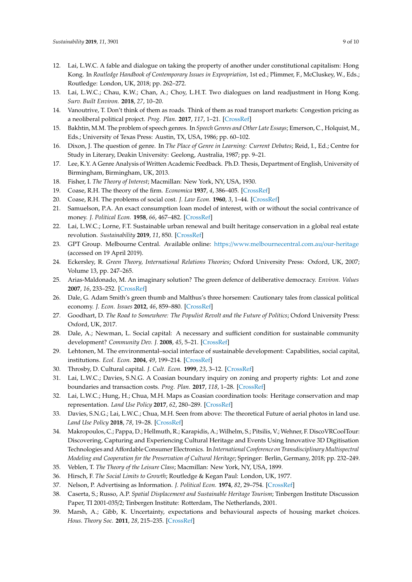- <span id="page-8-0"></span>12. Lai, L.W.C. A fable and dialogue on taking the property of another under constitutional capitalism: Hong Kong. In *Routledge Handbook of Contemporary Issues in Expropriation*, 1st ed.; Plimmer, F., McCluskey, W., Eds.; Routledge: London, UK, 2018; pp. 262–272.
- <span id="page-8-1"></span>13. Lai, L.W.C.; Chau, K.W.; Chan, A.; Choy, L.H.T. Two dialogues on land readjustment in Hong Kong. *Surv. Built Environ.* **2018**, *27*, 10–20.
- <span id="page-8-2"></span>14. Vanoutrive, T. Don't think of them as roads. Think of them as road transport markets: Congestion pricing as a neoliberal political project. *Prog. Plan.* **2017**, *117*, 1–21. [\[CrossRef\]](http://dx.doi.org/10.1016/j.progress.2016.04.001)
- <span id="page-8-3"></span>15. Bakhtin, M.M. The problem of speech genres. In *Speech Genres and Other Late Essays*; Emerson, C., Holquist, M., Eds.; University of Texas Press: Austin, TX, USA, 1986; pp. 60–102.
- <span id="page-8-4"></span>16. Dixon, J. The question of genre. In *The Place of Genre in Learning: Current Debates*; Reid, I., Ed.; Centre for Study in Literary, Deakin University: Geelong, Australia, 1987; pp. 9–21.
- <span id="page-8-5"></span>17. Lee, K.Y. A Genre Analysis of Written Academic Feedback. Ph.D. Thesis, Department of English, University of Birmingham, Birmingham, UK, 2013.
- <span id="page-8-6"></span>18. Fisher, I. *The Theory of Interest*; Macmillan: New York, NY, USA, 1930.
- <span id="page-8-7"></span>19. Coase, R.H. The theory of the firm. *Economica* **1937**, *4*, 386–405. [\[CrossRef\]](http://dx.doi.org/10.1111/j.1468-0335.1937.tb00002.x)
- <span id="page-8-8"></span>20. Coase, R.H. The problems of social cost. *J. Law Econ.* **1960**, *3*, 1–44. [\[CrossRef\]](http://dx.doi.org/10.1086/466560)
- <span id="page-8-9"></span>21. Samuelson, P.A. An exact consumption loan model of interest, with or without the social contrivance of money. *J. Political Econ.* **1958**, *66*, 467–482. [\[CrossRef\]](http://dx.doi.org/10.1086/258100)
- <span id="page-8-10"></span>22. Lai, L.W.C.; Lorne, F.T. Sustainable urban renewal and built heritage conservation in a global real estate revolution. *Sustainability* **2019**, *11*, 850. [\[CrossRef\]](http://dx.doi.org/10.3390/su11030850)
- <span id="page-8-11"></span>23. GPT Group. Melbourne Central. Available online: https://[www.melbournecentral.com.au](https://www.melbournecentral.com.au/our-heritage)/our-heritage (accessed on 19 April 2019).
- <span id="page-8-12"></span>24. Eckersley, R. *Green Theory, International Relations Theories*; Oxford University Press: Oxford, UK, 2007; Volume 13, pp. 247–265.
- <span id="page-8-13"></span>25. Arias-Maldonado, M. An imaginary solution? The green defence of deliberative democracy. *Environ. Values* **2007**, *16*, 233–252. [\[CrossRef\]](http://dx.doi.org/10.3197/096327107780474573)
- <span id="page-8-14"></span>26. Dale, G. Adam Smith's green thumb and Malthus's three horsemen: Cautionary tales from classical political economy. *J. Econ. Issues* **2012**, *46*, 859–880. [\[CrossRef\]](http://dx.doi.org/10.2753/JEI0021-3624460402)
- <span id="page-8-15"></span>27. Goodhart, D. *The Road to Somewhere: The Populist Revolt and the Future of Politics*; Oxford University Press: Oxford, UK, 2017.
- <span id="page-8-16"></span>28. Dale, A.; Newman, L. Social capital: A necessary and sufficient condition for sustainable community development? *Community Dev. J.* **2008**, *45*, 5–21. [\[CrossRef\]](http://dx.doi.org/10.1093/cdj/bsn028)
- <span id="page-8-17"></span>29. Lehtonen, M. The environmental–social interface of sustainable development: Capabilities, social capital, institutions. *Ecol. Econ.* **2004**, *49*, 199–214. [\[CrossRef\]](http://dx.doi.org/10.1016/j.ecolecon.2004.03.019)
- <span id="page-8-18"></span>30. Throsby, D. Cultural capital. *J. Cult. Econ.* **1999**, *23*, 3–12. [\[CrossRef\]](http://dx.doi.org/10.1023/A:1007543313370)
- <span id="page-8-19"></span>31. Lai, L.W.C.; Davies, S.N.G. A Coasian boundary inquiry on zoning and property rights: Lot and zone boundaries and transaction costs. *Prog. Plan.* **2017**, *118*, 1–28. [\[CrossRef\]](http://dx.doi.org/10.1016/j.progress.2016.05.001)
- <span id="page-8-20"></span>32. Lai, L.W.C.; Hung, H.; Chua, M.H. Maps as Coasian coordination tools: Heritage conservation and map representation. *Land Use Policy* **2017**, *62*, 280–289. [\[CrossRef\]](http://dx.doi.org/10.1016/j.landusepol.2016.12.032)
- <span id="page-8-21"></span>33. Davies, S.N.G.; Lai, L.W.C.; Chua, M.H. Seen from above: The theoretical Future of aerial photos in land use. *Land Use Policy* **2018**, *78*, 19–28. [\[CrossRef\]](http://dx.doi.org/10.1016/j.landusepol.2018.06.036)
- <span id="page-8-22"></span>34. Makropoulos, C.; Pappa, D.; Hellmuth, R.; Karapidis, A.; Wilhelm, S.; Pitsilis, V.; Wehner, F. DiscoVRCoolTour: Discovering, Capturing and Experiencing Cultural Heritage and Events Using Innovative 3D Digitisation Technologies and Affordable Consumer Electronics. In *International Conference on Transdisciplinary Multispectral Modeling and Cooperation for the Preservation of Cultural Heritage*; Springer: Berlin, Germany, 2018; pp. 232–249.
- <span id="page-8-23"></span>35. Veblen, T. *The Theory of the Leisure Class*; Macmillan: New York, NY, USA, 1899.
- <span id="page-8-24"></span>36. Hirsch, F. *The Social Limits to Growth*; Routledge & Kegan Paul: London, UK, 1977.
- <span id="page-8-25"></span>37. Nelson, P. Advertising as Information. *J. Political Econ.* **1974**, *82*, 29–754. [\[CrossRef\]](http://dx.doi.org/10.1086/260231)
- <span id="page-8-26"></span>38. Caserta, S.; Russo, A.P. *Spatial Displacement and Sustainable Heritage Tourism*; Tinbergen Institute Discussion Paper, TI 2001-035/2; Tinbergen Institute: Rotterdam, The Netherlands, 2001.
- <span id="page-8-27"></span>39. Marsh, A.; Gibb, K. Uncertainty, expectations and behavioural aspects of housing market choices. *Hous. Theory Soc.* **2011**, *28*, 215–235. [\[CrossRef\]](http://dx.doi.org/10.1080/14036096.2011.599182)